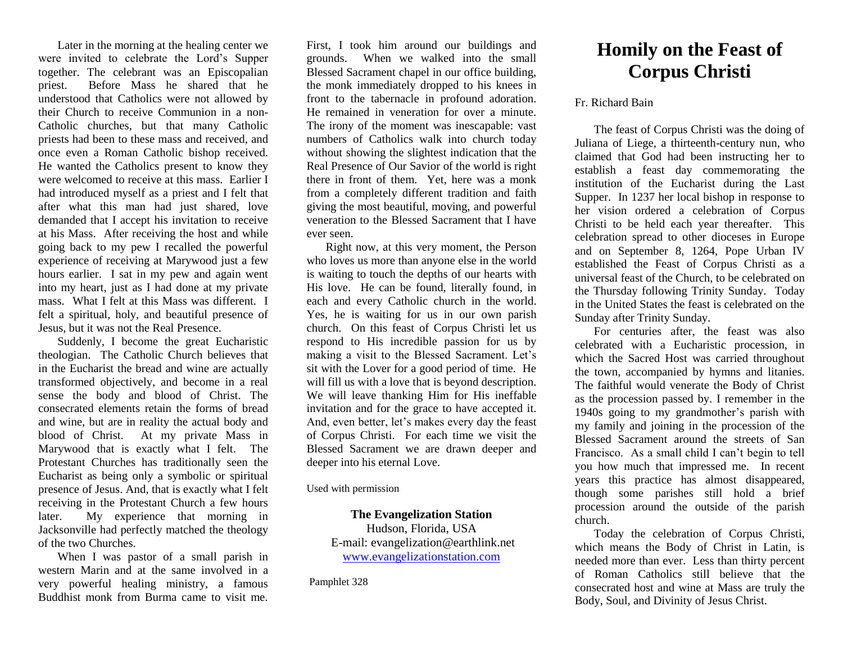Later in the morning at the healing center we were invited to celebrate the Lord's Supper together. The celebrant was an Episcopalian priest. Before Mass he shared that he understood that Catholics were not allowed by their Church to receive Communion in a non-Catholic churches, but that many Catholic priests had been to these mass and received, and once even a Roman Catholic bishop received. He wanted the Catholics present to know they were welcomed to receive at this mass. Earlier I had introduced myself as a priest and I felt that after what this man had just shared, love demanded that I accept his invitation to receive at his Mass. After receiving the host and while going back to my pew I recalled the powerful experience of receiving at Marywood just a few hours earlier. I sat in my pew and again went into my heart, just as I had done at my private mass. What I felt at this Mass was different. I felt a spiritual, holy, and beautiful presence of Jesus, but it was not the Real Presence.

Suddenly, I become the great Eucharistic theologian. The Catholic Church believes that in the Eucharist the bread and wine are actually transformed objectively, and become in a real sense the body and blood of Christ. The consecrated elements retain the forms of bread and wine, but are in reality the actual body and blood of Christ. At my private Mass in Marywood that is exactly what I felt. The Protestant Churches has traditionally seen the Eucharist as being only a symbolic or spiritual presence of Jesus. And, that is exactly what I felt receiving in the Protestant Church a few hours later. My experience that morning in Jacksonville had perfectly matched the theology of the two Churches.

When I was pastor of a small parish in western Marin and at the same involved in a very powerful healing ministry, a famous Buddhist monk from Burma came to visit me.

First, I took him around our buildings and grounds. When we walked into the small Blessed Sacrament chapel in our office building, the monk immediately dropped to his knees in front to the tabernacle in profound adoration. He remained in veneration for over a minute. The irony of the moment was inescapable: vast numbers of Catholics walk into church today without showing the slightest indication that the Real Presence of Our Savior of the world is right there in front of them. Yet, here was a monk from a completely different tradition and faith giving the most beautiful, moving, and powerful veneration to the Blessed Sacrament that I have ever seen.

Right now, at this very moment, the Person who loves us more than anyone else in the world is waiting to touch the depths of our hearts with His love. He can be found, literally found, in each and every Catholic church in the world. Yes, he is waiting for us in our own parish church. On this feast of Corpus Christi let us respond to His incredible passion for us by making a visit to the Blessed Sacrament. Let's sit with the Lover for a good period of time. He will fill us with a love that is beyond description. We will leave thanking Him for His ineffable invitation and for the grace to have accepted it. And, even better, let's makes every day the feast of Corpus Christi. For each time we visit the Blessed Sacrament we are drawn deeper and deeper into his eternal Love.

Used with permission

## **The Evangelization Station**

Hudson, Florida, USA E-mail: evangelization@earthlink.net [www.evangelizationstation.com](http://www.pjpiisoe.org/)

Pamphlet 328

## **Homily on the Feast of Corpus Christi**

## Fr. Richard Bain

The feast of Corpus Christi was the doing of Juliana of Liege, a thirteenth-century nun, who claimed that God had been instructing her to establish a feast day commemorating the institution of the Eucharist during the Last Supper. In 1237 her local bishop in response to her vision ordered a celebration of Corpus Christi to be held each year thereafter. This celebration spread to other dioceses in Europe and on September 8, 1264, Pope Urban IV established the Feast of Corpus Christi as a universal feast of the Church, to be celebrated on the Thursday following Trinity Sunday. Today in the United States the feast is celebrated on the Sunday after Trinity Sunday.

For centuries after, the feast was also celebrated with a Eucharistic procession, in which the Sacred Host was carried throughout the town, accompanied by hymns and litanies. The faithful would venerate the Body of Christ as the procession passed by. I remember in the 1940s going to my grandmother's parish with my family and joining in the procession of the Blessed Sacrament around the streets of San Francisco. As a small child I can't begin to tell you how much that impressed me. In recent years this practice has almost disappeared, though some parishes still hold a brief procession around the outside of the parish church.

Today the celebration of Corpus Christi, which means the Body of Christ in Latin, is needed more than ever. Less than thirty percent of Roman Catholics still believe that the consecrated host and wine at Mass are truly the Body, Soul, and Divinity of Jesus Christ.